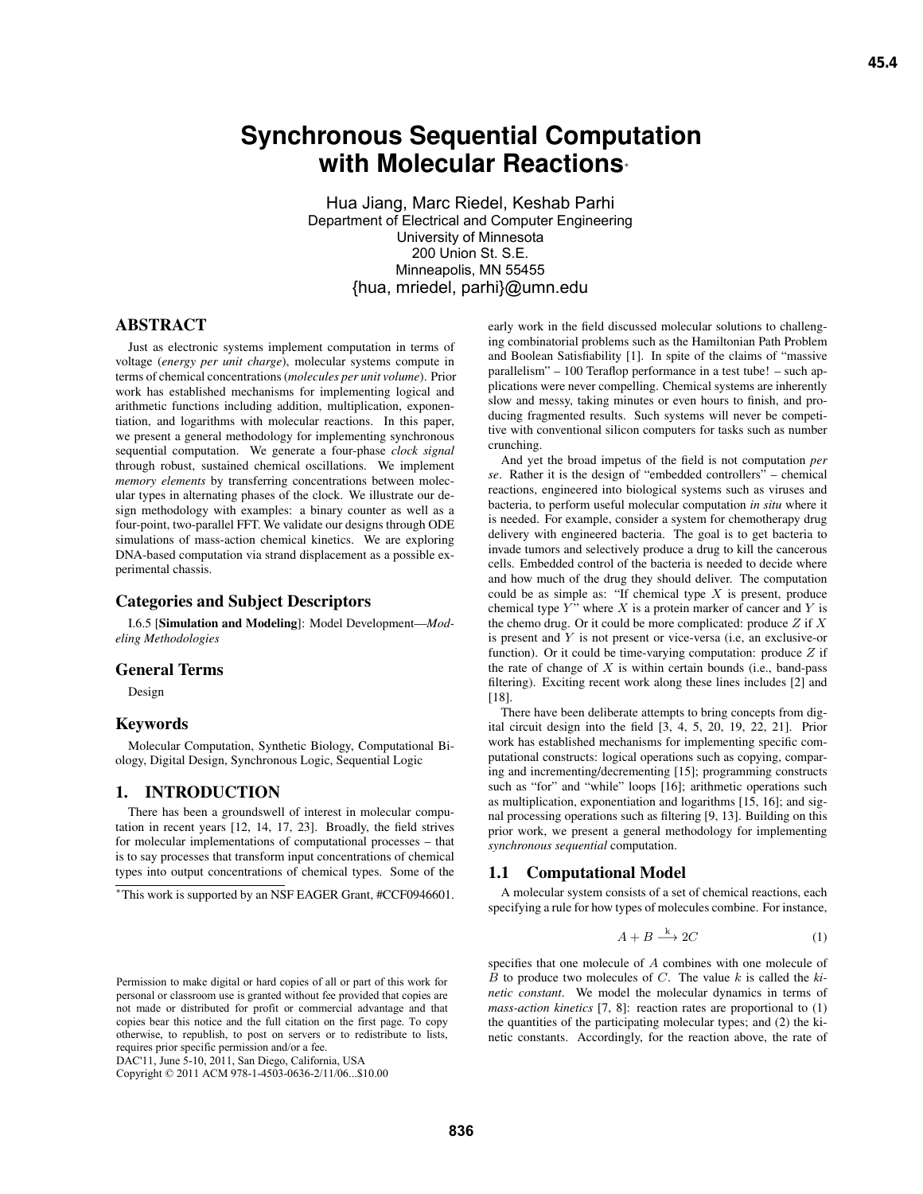# **Synchronous Sequential Computation with Molecular Reactions**<sup>∗</sup>

Hua Jiang, Marc Riedel, Keshab Parhi Department of Electrical and Computer Engineering University of Minnesota 200 Union St. S.E. Minneapolis, MN 55455 {hua, mriedel, parhi}@umn.edu

#### ABSTRACT

Just as electronic systems implement computation in terms of voltage (*energy per unit charge*), molecular systems compute in terms of chemical concentrations (*molecules per unit volume*). Prior work has established mechanisms for implementing logical and arithmetic functions including addition, multiplication, exponentiation, and logarithms with molecular reactions. In this paper, we present a general methodology for implementing synchronous sequential computation. We generate a four-phase *clock signal* through robust, sustained chemical oscillations. We implement *memory elements* by transferring concentrations between molecular types in alternating phases of the clock. We illustrate our design methodology with examples: a binary counter as well as a four-point, two-parallel FFT. We validate our designs through ODE simulations of mass-action chemical kinetics. We are exploring DNA-based computation via strand displacement as a possible experimental chassis.

#### Categories and Subject Descriptors

I.6.5 [Simulation and Modeling]: Model Development—*Modeling Methodologies*

#### General Terms

Design

#### Keywords

Molecular Computation, Synthetic Biology, Computational Biology, Digital Design, Synchronous Logic, Sequential Logic

#### 1. INTRODUCTION

There has been a groundswell of interest in molecular computation in recent years [12, 14, 17, 23]. Broadly, the field strives for molecular implementations of computational processes – that is to say processes that transform input concentrations of chemical types into output concentrations of chemical types. Some of the

DAC'11, June 5-10, 2011, San Diego, California, USA

Copyright © 2011 ACM 978-1-4503-0636-2/11/06...\$10.00

early work in the field discussed molecular solutions to challenging combinatorial problems such as the Hamiltonian Path Problem and Boolean Satisfiability [1]. In spite of the claims of "massive parallelism" – 100 Teraflop performance in a test tube! – such applications were never compelling. Chemical systems are inherently slow and messy, taking minutes or even hours to finish, and producing fragmented results. Such systems will never be competitive with conventional silicon computers for tasks such as number crunching.

And yet the broad impetus of the field is not computation *per se*. Rather it is the design of "embedded controllers" – chemical reactions, engineered into biological systems such as viruses and bacteria, to perform useful molecular computation *in situ* where it is needed. For example, consider a system for chemotherapy drug delivery with engineered bacteria. The goal is to get bacteria to invade tumors and selectively produce a drug to kill the cancerous cells. Embedded control of the bacteria is needed to decide where and how much of the drug they should deliver. The computation could be as simple as: "If chemical type  $X$  is present, produce chemical type  $Y$ " where  $X$  is a protein marker of cancer and  $Y$  is the chemo drug. Or it could be more complicated: produce  $Z$  if  $X$ is present and Y is not present or vice-versa (i.e, an exclusive-or function). Or it could be time-varying computation: produce  $Z$  if the rate of change of  $X$  is within certain bounds (i.e., band-pass filtering). Exciting recent work along these lines includes [2] and [18].

There have been deliberate attempts to bring concepts from digital circuit design into the field [3, 4, 5, 20, 19, 22, 21]. Prior work has established mechanisms for implementing specific computational constructs: logical operations such as copying, comparing and incrementing/decrementing [15]; programming constructs such as "for" and "while" loops [16]; arithmetic operations such as multiplication, exponentiation and logarithms [15, 16]; and signal processing operations such as filtering [9, 13]. Building on this prior work, we present a general methodology for implementing *synchronous sequential* computation.

#### 1.1 Computational Model

A molecular system consists of a set of chemical reactions, each specifying a rule for how types of molecules combine. For instance,

$$
A + B \xrightarrow{k} 2C \tag{1}
$$

specifies that one molecule of A combines with one molecule of B to produce two molecules of C. The value k is called the *kinetic constant*. We model the molecular dynamics in terms of *mass-action kinetics* [7, 8]: reaction rates are proportional to (1) the quantities of the participating molecular types; and (2) the kinetic constants. Accordingly, for the reaction above, the rate of

<sup>∗</sup>This work is supported by an NSF EAGER Grant, #CCF0946601.

Permission to make digital or hard copies of all or part of this work for personal or classroom use is granted without fee provided that copies are not made or distributed for profit or commercial advantage and that copies bear this notice and the full citation on the first page. To copy otherwise, to republish, to post on servers or to redistribute to lists, requires prior specific permission and/or a fee.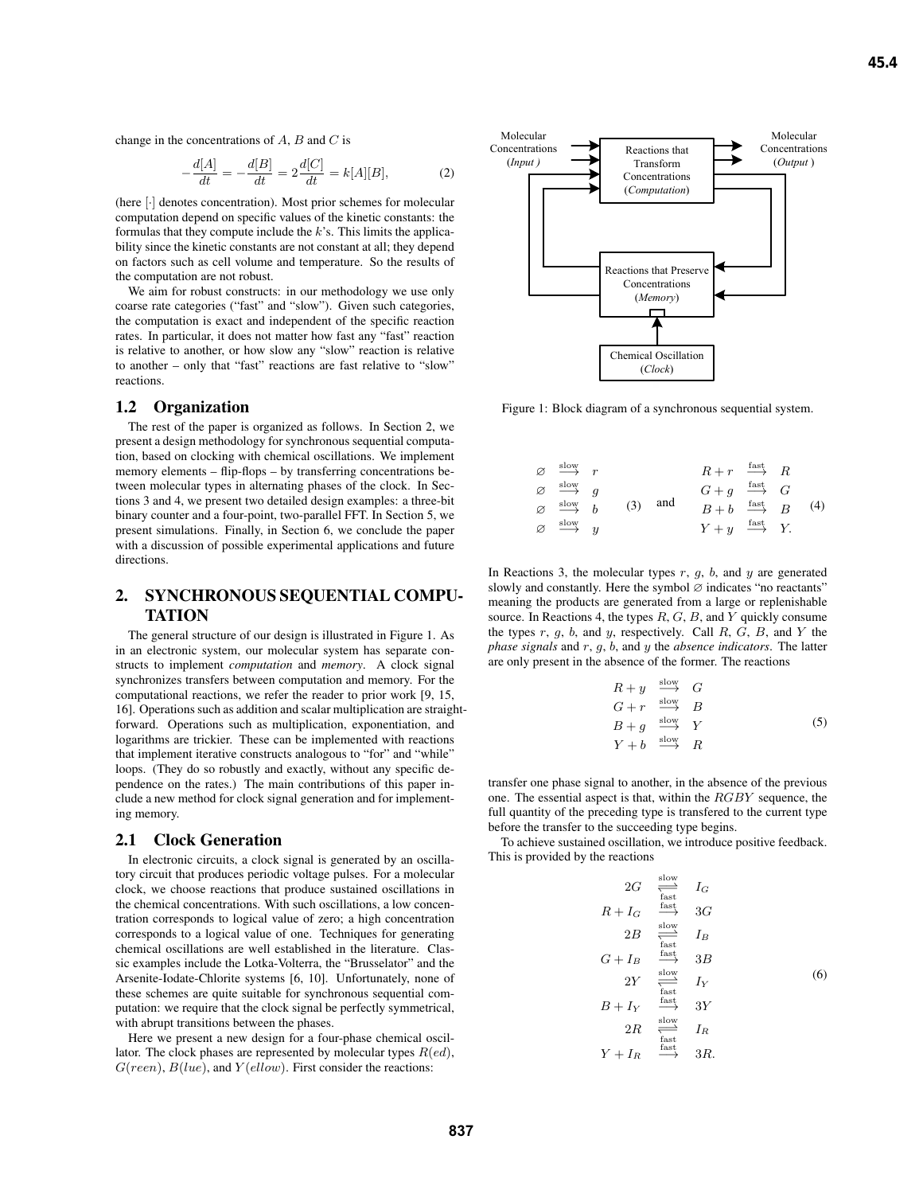change in the concentrations of  $A$ ,  $B$  and  $C$  is

$$
-\frac{d[A]}{dt} = -\frac{d[B]}{dt} = 2\frac{d[C]}{dt} = k[A][B],
$$
 (2)

(here [·] denotes concentration). Most prior schemes for molecular computation depend on specific values of the kinetic constants: the formulas that they compute include the  $k$ 's. This limits the applicability since the kinetic constants are not constant at all; they depend on factors such as cell volume and temperature. So the results of the computation are not robust.

We aim for robust constructs: in our methodology we use only coarse rate categories ("fast" and "slow"). Given such categories, the computation is exact and independent of the specific reaction rates. In particular, it does not matter how fast any "fast" reaction is relative to another, or how slow any "slow" reaction is relative to another – only that "fast" reactions are fast relative to "slow" reactions.

#### 1.2 Organization

The rest of the paper is organized as follows. In Section 2, we present a design methodology for synchronous sequential computation, based on clocking with chemical oscillations. We implement memory elements – flip-flops – by transferring concentrations between molecular types in alternating phases of the clock. In Sections 3 and 4, we present two detailed design examples: a three-bit binary counter and a four-point, two-parallel FFT. In Section 5, we present simulations. Finally, in Section 6, we conclude the paper with a discussion of possible experimental applications and future directions.

## 2. SYNCHRONOUS SEQUENTIAL COMPU-TATION

The general structure of our design is illustrated in Figure 1. As in an electronic system, our molecular system has separate constructs to implement *computation* and *memory*. A clock signal synchronizes transfers between computation and memory. For the computational reactions, we refer the reader to prior work [9, 15, 16]. Operations such as addition and scalar multiplication are straightforward. Operations such as multiplication, exponentiation, and logarithms are trickier. These can be implemented with reactions that implement iterative constructs analogous to "for" and "while" loops. (They do so robustly and exactly, without any specific dependence on the rates.) The main contributions of this paper include a new method for clock signal generation and for implementing memory.

#### 2.1 Clock Generation

In electronic circuits, a clock signal is generated by an oscillatory circuit that produces periodic voltage pulses. For a molecular clock, we choose reactions that produce sustained oscillations in the chemical concentrations. With such oscillations, a low concentration corresponds to logical value of zero; a high concentration corresponds to a logical value of one. Techniques for generating chemical oscillations are well established in the literature. Classic examples include the Lotka-Volterra, the "Brusselator" and the Arsenite-Iodate-Chlorite systems [6, 10]. Unfortunately, none of these schemes are quite suitable for synchronous sequential computation: we require that the clock signal be perfectly symmetrical, with abrupt transitions between the phases.

Here we present a new design for a four-phase chemical oscillator. The clock phases are represented by molecular types  $R(ed)$ ,  $G(reen)$ ,  $B(lue)$ , and  $Y(ellow)$ . First consider the reactions:



Figure 1: Block diagram of a synchronous sequential system.

$$
\begin{array}{c}\n\varnothing \xrightarrow{\text{slow}} & r \\
\varnothing \xrightarrow{\text{slow}} & g \\
\varnothing \xrightarrow{\text{slow}} & b \\
\varnothing \xrightarrow{\text{slow}} & y\n\end{array}\n\qquad\n\begin{array}{c}\nR+r \xrightarrow{\text{fast}} & R \\
G+g \xrightarrow{\text{fast}} & G \\
B+b \xrightarrow{\text{fast}} & B \\
Y+y \xrightarrow{\text{fast}} & Y.\n\end{array}\n\qquad (4)
$$

In Reactions 3, the molecular types  $r$ ,  $g$ ,  $b$ , and  $y$  are generated slowly and constantly. Here the symbol ∅ indicates "no reactants" meaning the products are generated from a large or replenishable source. In Reactions 4, the types  $R$ ,  $G$ ,  $B$ , and  $Y$  quickly consume the types  $r, g, b$ , and  $y$ , respectively. Call  $R, G, B$ , and  $Y$  the *phase signals* and r, g, b, and y the *absence indicators*. The latter are only present in the absence of the former. The reactions

$$
R + y \xrightarrow{\text{slow}} G
$$
  
\n
$$
G + r \xrightarrow{\text{slow}} B
$$
  
\n
$$
B + g \xrightarrow{\text{slow}} Y
$$
  
\n
$$
Y + b \xrightarrow{\text{slow}} R
$$
 (5)

transfer one phase signal to another, in the absence of the previous one. The essential aspect is that, within the RGBY sequence, the full quantity of the preceding type is transfered to the current type before the transfer to the succeeding type begins.

To achieve sustained oscillation, we introduce positive feedback. This is provided by the reactions

$$
2G \xrightarrow{\text{slow}} I_G
$$
\n
$$
R + I_G \xrightarrow{\text{fast}} 3G
$$
\n
$$
2B \xrightarrow{\text{slow}} I_B
$$
\n
$$
G + I_B \xrightarrow{\text{fast}} 3B
$$
\n
$$
2Y \xrightarrow{\text{slow}} I_Y
$$
\n
$$
B + I_Y \xrightarrow{\text{fast}} 3Y
$$
\n
$$
2R \xrightarrow{\text{slow}} I_R
$$
\n
$$
Y + I_R \xrightarrow{\text{fast}} 3R.
$$
\n(6)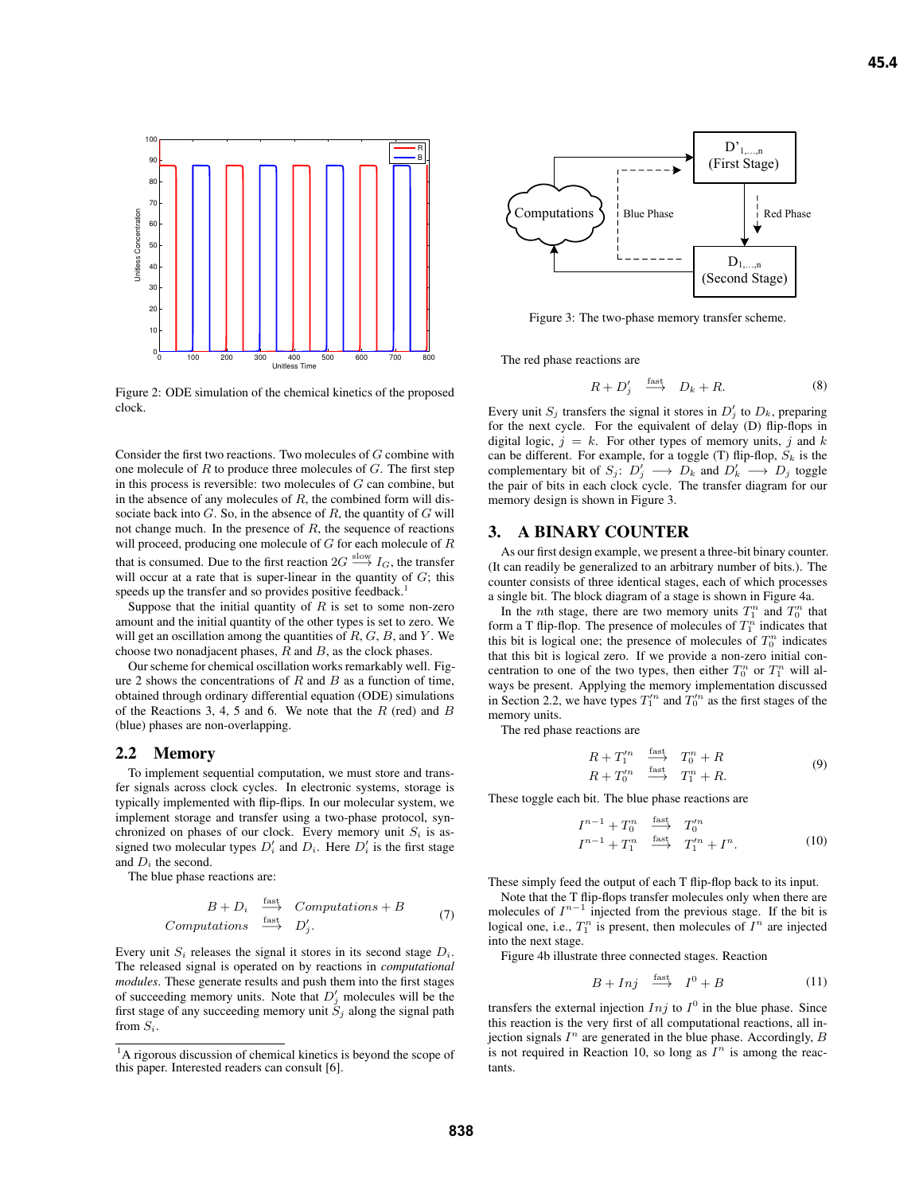

Figure 2: ODE simulation of the chemical kinetics of the proposed clock.

Consider the first two reactions. Two molecules of G combine with one molecule of  $R$  to produce three molecules of  $G$ . The first step in this process is reversible: two molecules of  $G$  can combine, but in the absence of any molecules of  $R$ , the combined form will dissociate back into  $G$ . So, in the absence of  $R$ , the quantity of  $G$  will not change much. In the presence of  $R$ , the sequence of reactions will proceed, producing one molecule of G for each molecule of R that is consumed. Due to the first reaction  $2G \stackrel{\text{slow}}{\longrightarrow} I_G$ , the transfer will occur at a rate that is super-linear in the quantity of  $G$ ; this speeds up the transfer and so provides positive feedback.<sup>1</sup>

Suppose that the initial quantity of  $R$  is set to some non-zero amount and the initial quantity of the other types is set to zero. We will get an oscillation among the quantities of  $R$ ,  $G$ ,  $B$ , and  $Y$ . We choose two nonadjacent phases,  $R$  and  $B$ , as the clock phases.

Our scheme for chemical oscillation works remarkably well. Figure 2 shows the concentrations of  $R$  and  $B$  as a function of time, obtained through ordinary differential equation (ODE) simulations of the Reactions 3, 4, 5 and 6. We note that the  $R$  (red) and  $B$ (blue) phases are non-overlapping.

#### 2.2 Memory

To implement sequential computation, we must store and transfer signals across clock cycles. In electronic systems, storage is typically implemented with flip-flips. In our molecular system, we implement storage and transfer using a two-phase protocol, synchronized on phases of our clock. Every memory unit  $S_i$  is assigned two molecular types  $D'_i$  and  $D_i$ . Here  $D'_i$  is the first stage and  $D_i$  the second.

The blue phase reactions are:

$$
B + D_i \stackrel{\text{fast}}{\longrightarrow} Computations + B \tag{7}
$$
  
Computations 
$$
\stackrel{\text{fast}}{\longrightarrow} D'_j.
$$

Every unit  $S_i$  releases the signal it stores in its second stage  $D_i$ . The released signal is operated on by reactions in *computational modules*. These generate results and push them into the first stages of succeeding memory units. Note that  $D'_j$  molecules will be the first stage of any succeeding memory unit  $S_i$  along the signal path from  $S_i$ .



Figure 3: The two-phase memory transfer scheme.

The red phase reactions are

$$
R + D_j' \stackrel{\text{fast}}{\longrightarrow} D_k + R. \tag{8}
$$

Every unit  $S_j$  transfers the signal it stores in  $D'_j$  to  $D_k$ , preparing for the next cycle. For the equivalent of delay (D) flip-flops in digital logic,  $j = k$ . For other types of memory units, j and k can be different. For example, for a toggle (T) flip-flop,  $S_k$  is the complementary bit of  $S_j: D'_j \longrightarrow D_k$  and  $D'_k \longrightarrow D_j$  toggle the pair of bits in each clock cycle. The transfer diagram for our memory design is shown in Figure 3.

#### 3. A BINARY COUNTER

As our first design example, we present a three-bit binary counter. (It can readily be generalized to an arbitrary number of bits.). The counter consists of three identical stages, each of which processes a single bit. The block diagram of a stage is shown in Figure 4a.

In the *n*th stage, there are two memory units  $T_1^n$  and  $T_0^n$  that form a T flip-flop. The presence of molecules of  $T_1^n$  indicates that this bit is logical one; the presence of molecules of  $T_0^n$  indicates that this bit is logical zero. If we provide a non-zero initial concentration to one of the two types, then either  $T_0^n$  or  $T_1^n$  will always be present. Applying the memory implementation discussed in Section 2.2, we have types  $T_1^{\prime n}$  and  $T_0^{\prime n}$  as the first stages of the memory units.

The red phase reactions are

$$
R + T_1'^n \xrightarrow{\text{fast}} T_0^n + R
$$
  

$$
R + T_0'^n \xrightarrow{\text{fast}} T_1^n + R.
$$
  
(9)

These toggle each bit. The blue phase reactions are

$$
I^{n-1} + T_0^n \xrightarrow{fast} T_0'^n I^{n-1} + T_1^n \xrightarrow{fast} T_1'^n + I^n.
$$
 (10)

These simply feed the output of each T flip-flop back to its input.

Note that the T flip-flops transfer molecules only when there are molecules of  $I^{n-1}$  injected from the previous stage. If the bit is logical one, i.e.,  $T_1^n$  is present, then molecules of  $I^n$  are injected into the next stage.

Figure 4b illustrate three connected stages. Reaction

$$
B + Inj \quad \stackrel{\text{fast}}{\longrightarrow} \quad I^0 + B \tag{11}
$$

transfers the external injection  $Inj$  to  $I^0$  in the blue phase. Since this reaction is the very first of all computational reactions, all injection signals  $I^n$  are generated in the blue phase. Accordingly,  $B$ is not required in Reaction 10, so long as  $I<sup>n</sup>$  is among the reactants.

<sup>&</sup>lt;sup>1</sup>A rigorous discussion of chemical kinetics is beyond the scope of this paper. Interested readers can consult [6].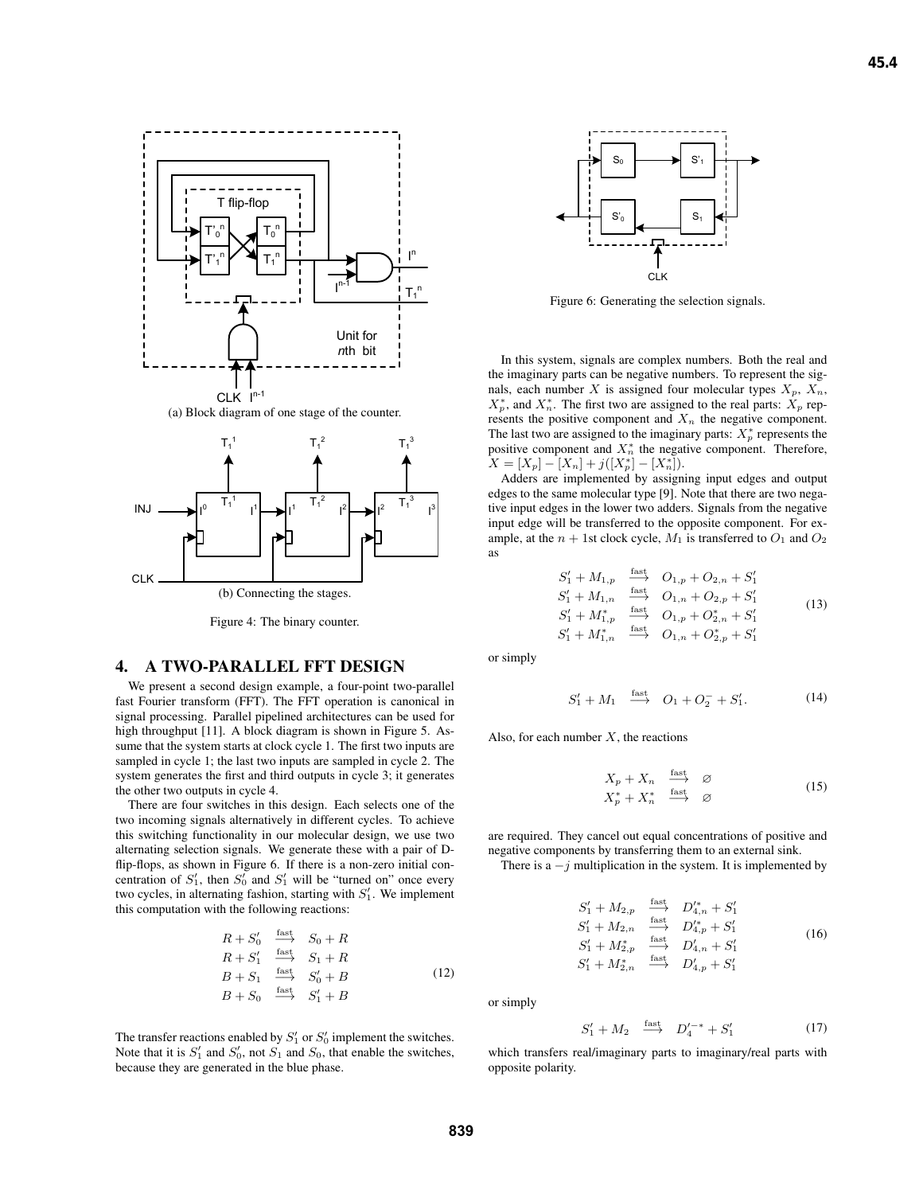

(b) Connecting the stages.

Figure 4: The binary counter.

#### 4. A TWO-PARALLEL FFT DESIGN

CL<sub>K</sub>

We present a second design example, a four-point two-parallel fast Fourier transform (FFT). The FFT operation is canonical in signal processing. Parallel pipelined architectures can be used for high throughput [11]. A block diagram is shown in Figure 5. Assume that the system starts at clock cycle 1. The first two inputs are sampled in cycle 1; the last two inputs are sampled in cycle 2. The system generates the first and third outputs in cycle 3; it generates the other two outputs in cycle 4.

There are four switches in this design. Each selects one of the two incoming signals alternatively in different cycles. To achieve this switching functionality in our molecular design, we use two alternating selection signals. We generate these with a pair of Dflip-flops, as shown in Figure 6. If there is a non-zero initial concentration of  $S'_1$ , then  $S'_0$  and  $S'_1$  will be "turned on" once every two cycles, in alternating fashion, starting with  $S'_1$ . We implement this computation with the following reactions:

$$
R + S'_{0} \xrightarrow{\text{fast}} S_{0} + R
$$
  
\n
$$
R + S'_{1} \xrightarrow{\text{fast}} S_{1} + R
$$
  
\n
$$
B + S_{1} \xrightarrow{\text{fast}} S'_{0} + B
$$
  
\n
$$
B + S_{0} \xrightarrow{\text{fast}} S'_{1} + B
$$
  
\n(12)

The transfer reactions enabled by  $S'_1$  or  $S'_0$  implement the switches. Note that it is  $S'_1$  and  $S'_0$ , not  $S_1$  and  $S_0$ , that enable the switches, because they are generated in the blue phase.



Figure 6: Generating the selection signals.

In this system, signals are complex numbers. Both the real and the imaginary parts can be negative numbers. To represent the signals, each number X is assigned four molecular types  $X_p$ ,  $X_n$ ,  $X_p^*$ , and  $X_n^*$ . The first two are assigned to the real parts:  $X_p$  represents the positive component and  $X_n$  the negative component. The last two are assigned to the imaginary parts:  $X_p^*$  represents the positive component and  $X_n^*$  the negative component. Therefore,  $X = [X_p] - [X_n] + j([X_p^*] - [X_n^*]).$ 

Adders are implemented by assigning input edges and output edges to the same molecular type [9]. Note that there are two negative input edges in the lower two adders. Signals from the negative input edge will be transferred to the opposite component. For example, at the  $n + 1$ st clock cycle,  $M_1$  is transferred to  $O_1$  and  $O_2$ as

$$
S'_{1} + M_{1,p} \xrightarrow{\text{fast}} O_{1,p} + O_{2,n} + S'_{1}
$$
  
\n
$$
S'_{1} + M_{1,n} \xrightarrow{\text{fast}} O_{1,n} + O_{2,p} + S'_{1}
$$
  
\n
$$
S'_{1} + M_{1,p}^{*} \xrightarrow{\text{fast}} O_{1,p} + O_{2,n}^{*} + S'_{1}
$$
  
\n
$$
S'_{1} + M_{1,n}^{*} \xrightarrow{\text{fast}} O_{1,n} + O_{2,p}^{*} + S'_{1}
$$
  
\n(13)

or simply

$$
S_1' + M_1 \stackrel{\text{fast}}{\longrightarrow} O_1 + O_2^- + S_1'. \tag{14}
$$

Also, for each number  $X$ , the reactions

$$
X_p + X_n \xrightarrow{\text{fast}} \varnothing
$$
  
\n
$$
X_p^* + X_n^* \xrightarrow{\text{fast}} \varnothing
$$
 (15)

are required. They cancel out equal concentrations of positive and negative components by transferring them to an external sink.

There is a  $-j$  multiplication in the system. It is implemented by

$$
S'_{1} + M_{2,p} \xrightarrow{\text{fast}} D'_{4,n} + S'_{1}
$$
  
\n
$$
S'_{1} + M_{2,n} \xrightarrow{\text{fast}} D'_{4,p} + S'_{1}
$$
  
\n
$$
S'_{1} + M_{2,p}^{*} \xrightarrow{\text{fast}} D'_{4,n} + S'_{1}
$$
  
\n
$$
S'_{1} + M_{2,n}^{*} \xrightarrow{\text{fast}} D'_{4,p} + S'_{1}
$$
  
\n(16)

or simply

$$
S_1' + M_2 \stackrel{\text{fast}}{\longrightarrow} D_4'^{-*} + S_1' \tag{17}
$$

which transfers real/imaginary parts to imaginary/real parts with opposite polarity.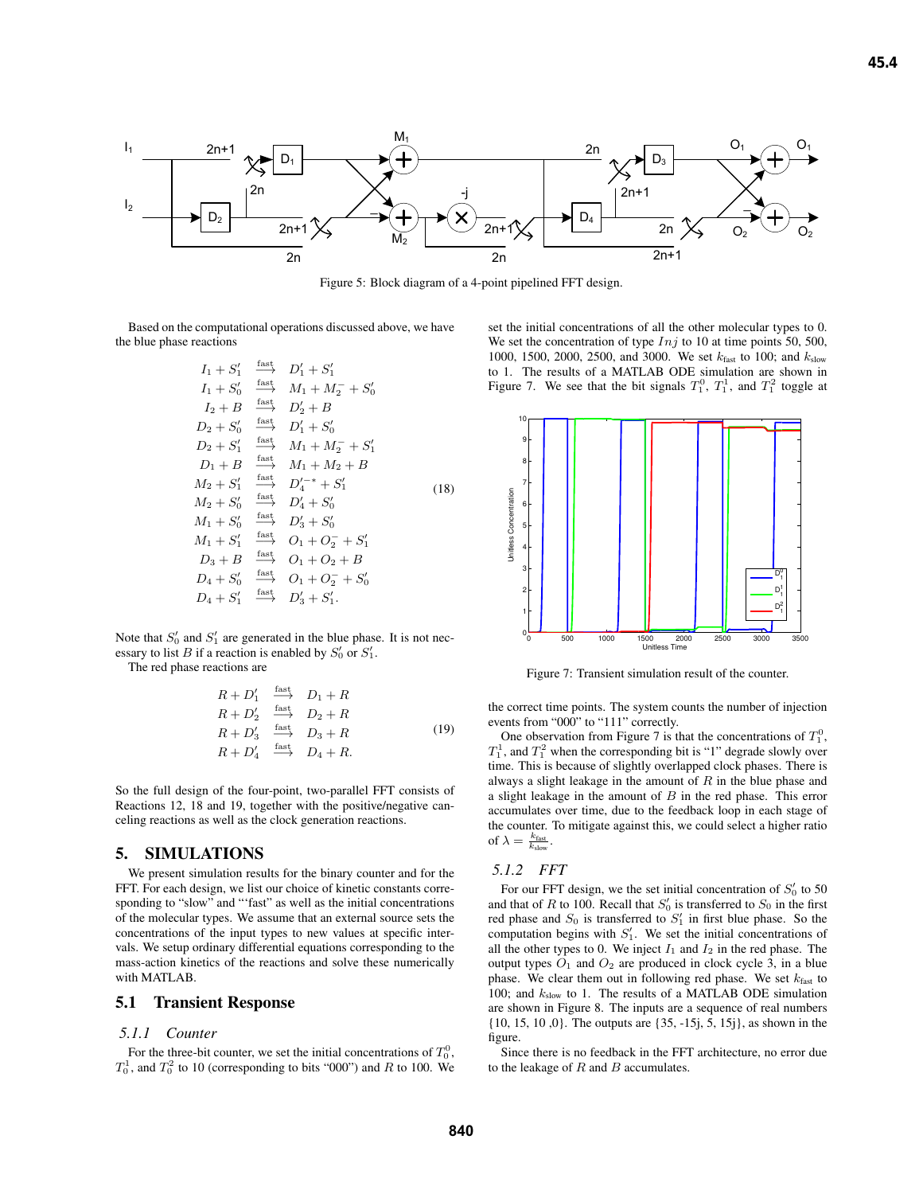

Figure 5: Block diagram of a 4-point pipelined FFT design.

Based on the computational operations discussed above, we have the blue phase reactions

$$
I_{1} + S'_{1} \xrightarrow{\text{fast}} D'_{1} + S'_{1}
$$
\n
$$
I_{1} + S'_{0} \xrightarrow{\text{fast}} M_{1} + M_{2}^{-} + S'_{0}
$$
\n
$$
I_{2} + B \xrightarrow{\text{fast}} D'_{2} + B
$$
\n
$$
D_{2} + S'_{0} \xrightarrow{\text{fast}} D'_{1} + S'_{0}
$$
\n
$$
D_{2} + S'_{1} \xrightarrow{\text{fast}} M_{1} + M_{2}^{-} + S'_{1}
$$
\n
$$
D_{1} + B \xrightarrow{\text{fast}} M_{1} + M_{2} + B
$$
\n
$$
M_{2} + S'_{1} \xrightarrow{\text{fast}} D'_{4} + S'_{1}
$$
\n
$$
M_{1} + S'_{0} \xrightarrow{\text{fast}} D'_{4} + S'_{0}
$$
\n
$$
M_{1} + S'_{1} \xrightarrow{\text{fast}} O_{1} + O_{2}^{-} + S'_{1}
$$
\n
$$
D_{3} + B \xrightarrow{\text{fast}} O_{1} + O_{2}^{-} + S'_{0}
$$
\n
$$
D_{4} + S'_{0} \xrightarrow{\text{fast}} O_{1} + O_{2}^{-} + S'_{0}
$$
\n
$$
D_{4} + S'_{1} \xrightarrow{\text{fast}} D'_{3} + S'_{1}.
$$

Note that  $S'_0$  and  $S'_1$  are generated in the blue phase. It is not necessary to list B if a reaction is enabled by  $S'_0$  or  $S'_1$ .

The red phase reactions are

$$
R + D'_1 \xrightarrow{\text{fast}} D_1 + R
$$
  
\n
$$
R + D'_2 \xrightarrow{\text{fast}} D_2 + R
$$
  
\n
$$
R + D'_3 \xrightarrow{\text{fast}} D_3 + R
$$
  
\n
$$
R + D'_4 \xrightarrow{\text{fast}} D_4 + R.
$$
  
\n(19)

So the full design of the four-point, two-parallel FFT consists of Reactions 12, 18 and 19, together with the positive/negative canceling reactions as well as the clock generation reactions.

#### 5. SIMULATIONS

We present simulation results for the binary counter and for the FFT. For each design, we list our choice of kinetic constants corresponding to "slow" and "'fast" as well as the initial concentrations of the molecular types. We assume that an external source sets the concentrations of the input types to new values at specific intervals. We setup ordinary differential equations corresponding to the mass-action kinetics of the reactions and solve these numerically with MATLAB.

### 5.1 Transient Response

#### *5.1.1 Counter*

For the three-bit counter, we set the initial concentrations of  $T_0^0$ ,  $T_0^1$ , and  $T_0^2$  to 10 (corresponding to bits "000") and R to 100. We

set the initial concentrations of all the other molecular types to 0. We set the concentration of type  $Inj$  to 10 at time points 50, 500, 1000, 1500, 2000, 2500, and 3000. We set  $k_{\text{fast}}$  to 100; and  $k_{\text{slow}}$ to 1. The results of a MATLAB ODE simulation are shown in Figure 7. We see that the bit signals  $T_1^0$ ,  $T_1^1$ , and  $T_1^2$  toggle at



Figure 7: Transient simulation result of the counter.

the correct time points. The system counts the number of injection events from "000" to "111" correctly.

One observation from Figure 7 is that the concentrations of  $T_1^0$ ,  $T_1^1$ , and  $T_1^2$  when the corresponding bit is "1" degrade slowly over time. This is because of slightly overlapped clock phases. There is always a slight leakage in the amount of  $R$  in the blue phase and a slight leakage in the amount of  $B$  in the red phase. This error accumulates over time, due to the feedback loop in each stage of the counter. To mitigate against this, we could select a higher ratio of  $\lambda = \frac{k_{\text{fast}}}{k_{\text{slow}}}$ .

### *5.1.2 FFT*

For our FFT design, we the set initial concentration of  $S'_0$  to 50 and that of R to 100. Recall that  $S'_0$  is transferred to  $S_0$  in the first red phase and  $S_0$  is transferred to  $S'_1$  in first blue phase. So the computation begins with  $S'_1$ . We set the initial concentrations of all the other types to 0. We inject  $I_1$  and  $I_2$  in the red phase. The output types  $O_1$  and  $O_2$  are produced in clock cycle 3, in a blue phase. We clear them out in following red phase. We set  $k_{\text{fast}}$  to 100; and  $k_{slow}$  to 1. The results of a MATLAB ODE simulation are shown in Figure 8. The inputs are a sequence of real numbers {10, 15, 10 ,0}. The outputs are {35, -15j, 5, 15j}, as shown in the figure.

Since there is no feedback in the FFT architecture, no error due to the leakage of  $R$  and  $B$  accumulates.